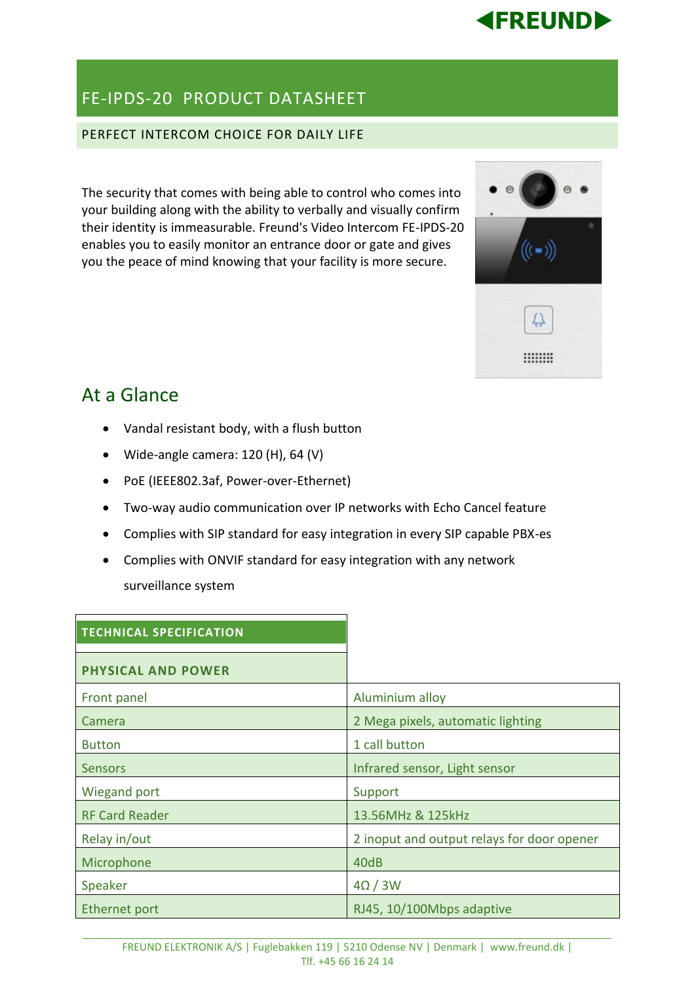

## FE-IPDS-20 PRODUCT DATASHEET

### PERFECT INTERCOM CHOICE FOR DAILY LIFE

The security that comes with being able to control who comes into your building along with the ability to verbally and visually confirm their identity is immeasurable. Freund's Video Intercom FE-IPDS-20 enables you to easily monitor an entrance door or gate and gives you the peace of mind knowing that your facility is more secure.



# At a Glance

- Vandal resistant body, with a flush button
- Wide-angle camera: 120 (H), 64 (V)
- PoE (IEEE802.3af, Power-over-Ethernet)
- Two-way audio communication over IP networks with Echo Cancel feature
- Complies with SIP standard for easy integration in every SIP capable PBX-es
- Complies with ONVIF standard for easy integration with any network surveillance system

| <b>TECHNICAL SPECIFICATION</b> |                                            |
|--------------------------------|--------------------------------------------|
| <b>PHYSICAL AND POWER</b>      |                                            |
| Front panel                    | Aluminium alloy                            |
| Camera                         | 2 Mega pixels, automatic lighting          |
| <b>Button</b>                  | 1 call button                              |
| <b>Sensors</b>                 | Infrared sensor, Light sensor              |
| <b>Wiegand port</b>            | Support                                    |
| <b>RF Card Reader</b>          | 13.56MHz & 125kHz                          |
| Relay in/out                   | 2 inoput and output relays for door opener |
| Microphone                     | 40dB                                       |
| Speaker                        | $4\Omega/3W$                               |
| Ethernet port                  | RJ45, 10/100Mbps adaptive                  |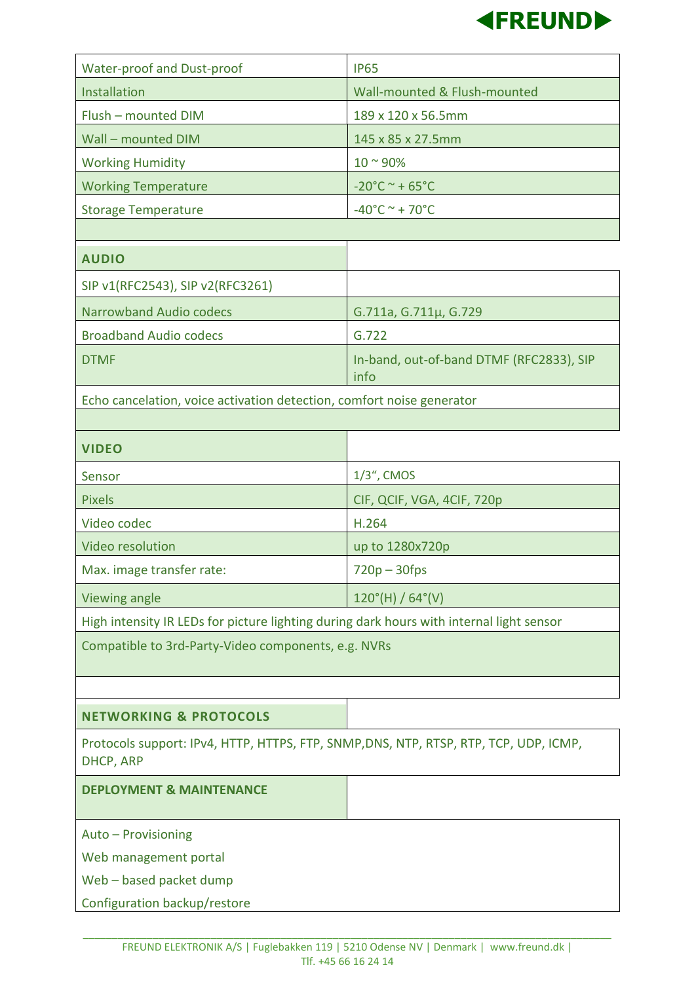

| <b>Water-proof and Dust-proof</b>                                                                        | <b>IP65</b>                                      |  |
|----------------------------------------------------------------------------------------------------------|--------------------------------------------------|--|
| Installation                                                                                             | Wall-mounted & Flush-mounted                     |  |
| Flush - mounted DIM                                                                                      | 189 x 120 x 56.5mm                               |  |
| Wall - mounted DIM                                                                                       | 145 x 85 x 27.5mm                                |  |
| <b>Working Humidity</b>                                                                                  | $10^{\circ}$ 90%                                 |  |
| <b>Working Temperature</b>                                                                               | $-20^{\circ}$ C ~ + 65 $^{\circ}$ C              |  |
| <b>Storage Temperature</b>                                                                               | $-40^{\circ}$ C ~ + 70 $^{\circ}$ C              |  |
|                                                                                                          |                                                  |  |
| <b>AUDIO</b>                                                                                             |                                                  |  |
| SIP v1(RFC2543), SIP v2(RFC3261)                                                                         |                                                  |  |
| <b>Narrowband Audio codecs</b>                                                                           | G.711a, G.711µ, G.729                            |  |
| <b>Broadband Audio codecs</b>                                                                            | G.722                                            |  |
| <b>DTMF</b>                                                                                              | In-band, out-of-band DTMF (RFC2833), SIP<br>info |  |
| Echo cancelation, voice activation detection, comfort noise generator                                    |                                                  |  |
|                                                                                                          |                                                  |  |
| <b>VIDEO</b>                                                                                             |                                                  |  |
| Sensor                                                                                                   | 1/3", CMOS                                       |  |
| <b>Pixels</b>                                                                                            | CIF, QCIF, VGA, 4CIF, 720p                       |  |
| Video codec                                                                                              | H.264                                            |  |
| <b>Video resolution</b>                                                                                  | up to 1280x720p                                  |  |
| Max. image transfer rate:                                                                                | $720p - 30fps$                                   |  |
| Viewing angle                                                                                            | $120^{\circ}$ (H) / 64 $^{\circ}$ (V)            |  |
| High intensity IR LEDs for picture lighting during dark hours with internal light sensor                 |                                                  |  |
| Compatible to 3rd-Party-Video components, e.g. NVRs                                                      |                                                  |  |
|                                                                                                          |                                                  |  |
|                                                                                                          |                                                  |  |
| <b>NETWORKING &amp; PROTOCOLS</b>                                                                        |                                                  |  |
| Protocols support: IPv4, HTTP, HTTPS, FTP, SNMP,DNS, NTP, RTSP, RTP, TCP, UDP, ICMP,<br><b>DHCP, ARP</b> |                                                  |  |
| <b>DEPLOYMENT &amp; MAINTENANCE</b>                                                                      |                                                  |  |
| Auto - Provisioning                                                                                      |                                                  |  |
| Web management portal                                                                                    |                                                  |  |
| Web - based packet dump                                                                                  |                                                  |  |
| Configuration backup/restore                                                                             |                                                  |  |